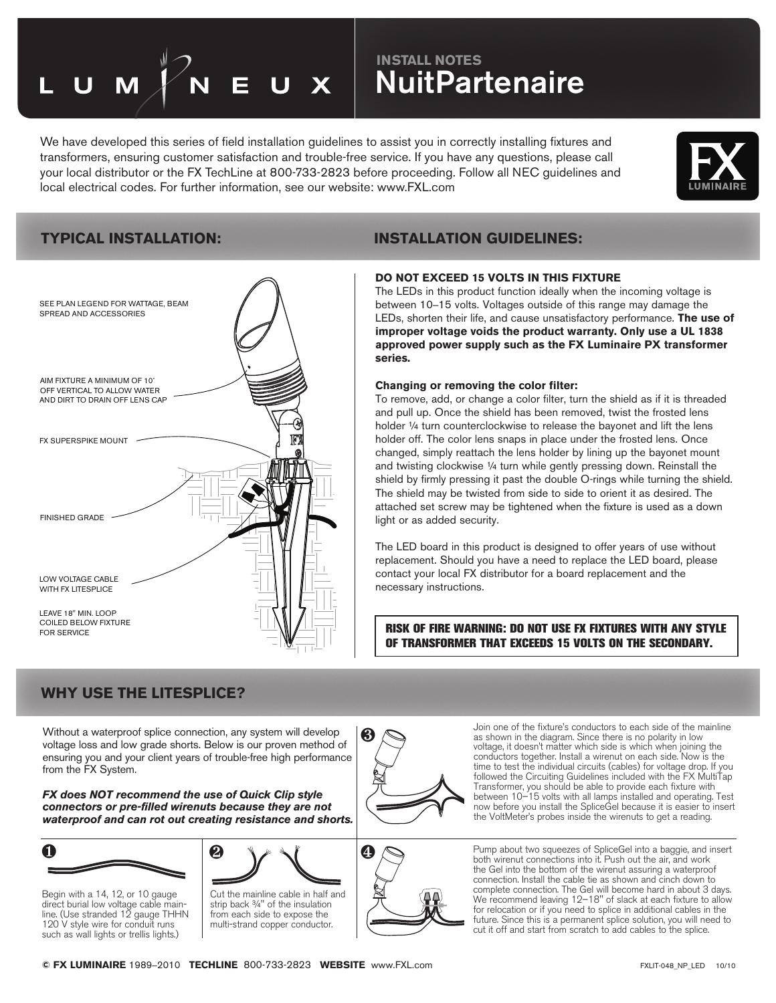# **INSTALL NOTES INSTALL NOTES NuitPartenaire**

We have developed this series of field installation guidelines to assist you in correctly installing fixtures and transformers, ensuring customer satisfaction and trouble-free service. If you have any questions, please call your local distributor or the FX TechLine at 800-733-2823 before proceeding. Follow all NEC guidelines and local electrical codes. For further information, see our website: www.FXL.com





## **TYPICAL INSTALLATION: INSTALLATION GUIDELINES:**

#### **DO NOT EXCEED 15 VOLTS IN THIS FIXTURE**

The LEDs in this product function ideally when the incoming voltage is between 10–15 volts. Voltages outside of this range may damage the LEDs, shorten their life, and cause unsatisfactory performance. **The use of improper voltage voids the product warranty. Only use a UL 1838 approved power supply such as the FX Luminaire PX transformer series.**

#### **Changing or removing the color filter:**

To remove, add, or change a color filter, turn the shield as if it is threaded and pull up. Once the shield has been removed, twist the frosted lens holder ¼ turn counterclockwise to release the bayonet and lift the lens holder off. The color lens snaps in place under the frosted lens. Once changed, simply reattach the lens holder by lining up the bayonet mount and twisting clockwise ¼ turn while gently pressing down. Reinstall the shield by firmly pressing it past the double O-rings while turning the shield. The shield may be twisted from side to side to orient it as desired. The attached set screw may be tightened when the fixture is used as a down light or as added security.

The LED board in this product is designed to offer years of use without replacement. Should you have a need to replace the LED board, please contact your local FX distributor for a board replacement and the necessary instructions.

RISK OF FIRE WARNING: DO NOT USE FX FIXTURES WITH ANY STYLE OF TRANSFORMER THAT EXCEEDS 15 VOLTS ON THE SECONDARY.

## **WHY USE THE LITESPLICE?**

Without a waterproof splice connection, any system will develop voltage loss and low grade shorts. Below is our proven method of ensuring you and your client years of trouble-free high performance from the FX System.

*FX does NOT recommend the use of Quick Clip style connectors or pre-filled wirenuts because they are not waterproof and can rot out creating resistance and shorts.*



Begin with a 14, 12, or 10 gauge direct burial low voltage cable main-line. (Use stranded 12 gauge THHN 120 V style wire for conduit runs such as wall lights or trellis lights.)





Join one of the fixture's conductors to each side of the mainline as shown in the diagram. Since there is no polarity in low voltage, it doesn't matter which side is which when joining the conductors together. Install a wirenut on each side. Now is the time to test the individual circuits (cables) for voltage drop. If you followed the Circuiting Guidelines included with the FX MultiTap Transformer, you should be able to provide each fixture with between 10–15 volts with all lamps installed and operating. Test now before you install the SpliceGel because it is easier to insert the VoltMeter's probes inside the wirenuts to get a reading.

Pump about two squeezes of SpliceGel into a baggie, and insert both wirenut connections into it. Push out the air, and work the Gel into the bottom of the wirenut assuring a waterproof connection. Install the cable tie as shown and cinch down to complete connection. The Gel will become hard in about 3 days. We recommend leaving 12–18" of slack at each fixture to allow for relocation or if you need to splice in additional cables in the future. Since this is a permanent splice solution, you will need to cut it off and start from scratch to add cables to the splice.